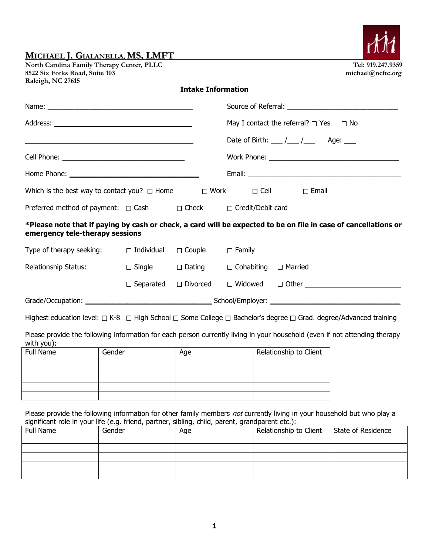| North Carolina Family Therapy Center, PLLC |
|--------------------------------------------|
| 8522 Six Forks Road, Suite 103             |
| Raleigh, NC 27615                          |

## **Intake Information**

|                                                                                                                                                    |                                                                 |                 |                   | May I contact the referral? $\Box$ Yes $\Box$ No                                                                                                                                                                               |                        |  |
|----------------------------------------------------------------------------------------------------------------------------------------------------|-----------------------------------------------------------------|-----------------|-------------------|--------------------------------------------------------------------------------------------------------------------------------------------------------------------------------------------------------------------------------|------------------------|--|
| <u> 1989 - Johann Barn, mars and de Brasilian (b. 1989)</u>                                                                                        |                                                                 |                 |                   | Date of Birth: $\frac{1}{\sqrt{2}}$ / $\frac{1}{\sqrt{2}}$ Age: $\frac{1}{\sqrt{2}}$                                                                                                                                           |                        |  |
|                                                                                                                                                    |                                                                 |                 |                   | Work Phone: Work and the state of the state of the state of the state of the state of the state of the state of the state of the state of the state of the state of the state of the state of the state of the state of the st |                        |  |
|                                                                                                                                                    |                                                                 |                 |                   |                                                                                                                                                                                                                                |                        |  |
| Which is the best way to contact you? $\square$ Home $\square$ Work $\square$ Cell                                                                 |                                                                 |                 |                   |                                                                                                                                                                                                                                | $\Box$ Email           |  |
|                                                                                                                                                    | Preferred method of payment: □ Cash □ Check □ Credit/Debit card |                 |                   |                                                                                                                                                                                                                                |                        |  |
| *Please note that if paying by cash or check, a card will be expected to be on file in case of cancellations or<br>emergency tele-therapy sessions |                                                                 |                 |                   |                                                                                                                                                                                                                                |                        |  |
| Type of therapy seeking:                                                                                                                           | □ Individual                                                    | $\Box$ Couple   | $\Box$ Family     |                                                                                                                                                                                                                                |                        |  |
| Relationship Status:                                                                                                                               | $\Box$ Single $\Box$ Dating                                     |                 | $\Box$ Cohabiting |                                                                                                                                                                                                                                | $\Box$ Married         |  |
|                                                                                                                                                    | $\Box$ Separated                                                | $\Box$ Divorced |                   |                                                                                                                                                                                                                                |                        |  |
|                                                                                                                                                    |                                                                 |                 |                   |                                                                                                                                                                                                                                |                        |  |
| Highest education level: $\Box$ K-8 $\Box$ High School $\Box$ Some College $\Box$ Bachelor's degree $\Box$ Grad. degree/Advanced training          |                                                                 |                 |                   |                                                                                                                                                                                                                                |                        |  |
| Please provide the following information for each person currently living in your household (even if not attending therapy<br>with you):           |                                                                 |                 |                   |                                                                                                                                                                                                                                |                        |  |
| Full Name                                                                                                                                          | Gender                                                          | Age             |                   |                                                                                                                                                                                                                                | Relationship to Client |  |

| Full Name | Gender | Age | Relationship to Client |
|-----------|--------|-----|------------------------|
|           |        |     |                        |
|           |        |     |                        |
|           |        |     |                        |
|           |        |     |                        |
|           |        |     |                        |

Please provide the following information for other family members not currently living in your household but who play a significant role in your life (e.g. friend, partner, sibling, child, parent, grandparent etc.):

| Full Name | Gender | Age | Relationship to Client | State of Residence |
|-----------|--------|-----|------------------------|--------------------|
|           |        |     |                        |                    |
|           |        |     |                        |                    |
|           |        |     |                        |                    |
|           |        |     |                        |                    |
|           |        |     |                        |                    |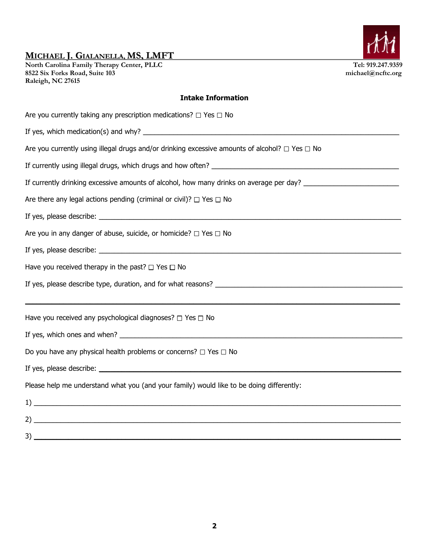**North Carolina Family Therapy Center, PLLC Tel: 919.247.9359 8522 Six Forks Road, Suite 103 michael@ncftc.org Raleigh, NC 27615** 

### **Intake Information**

| Are you currently taking any prescription medications? $\Box$ Yes $\Box$ No                                                                                                                                                       |
|-----------------------------------------------------------------------------------------------------------------------------------------------------------------------------------------------------------------------------------|
|                                                                                                                                                                                                                                   |
| Are you currently using illegal drugs and/or drinking excessive amounts of alcohol? $\Box$ Yes $\Box$ No                                                                                                                          |
|                                                                                                                                                                                                                                   |
| If currently drinking excessive amounts of alcohol, how many drinks on average per day? ______________________                                                                                                                    |
| Are there any legal actions pending (criminal or civil)? $\Box$ Yes $\Box$ No                                                                                                                                                     |
|                                                                                                                                                                                                                                   |
| Are you in any danger of abuse, suicide, or homicide? $\Box$ Yes $\Box$ No                                                                                                                                                        |
|                                                                                                                                                                                                                                   |
| Have you received therapy in the past? $\Box$ Yes $\Box$ No                                                                                                                                                                       |
|                                                                                                                                                                                                                                   |
|                                                                                                                                                                                                                                   |
| Have you received any psychological diagnoses? $\Box$ Yes $\Box$ No                                                                                                                                                               |
|                                                                                                                                                                                                                                   |
| Do you have any physical health problems or concerns? $\Box$ Yes $\Box$ No                                                                                                                                                        |
|                                                                                                                                                                                                                                   |
| Please help me understand what you (and your family) would like to be doing differently:                                                                                                                                          |
| $\frac{1}{2}$ . The contract of the contract of the contract of the contract of the contract of the contract of the contract of the contract of the contract of the contract of the contract of the contract of the contract of t |
| $2)$ $\overline{\phantom{a}}$                                                                                                                                                                                                     |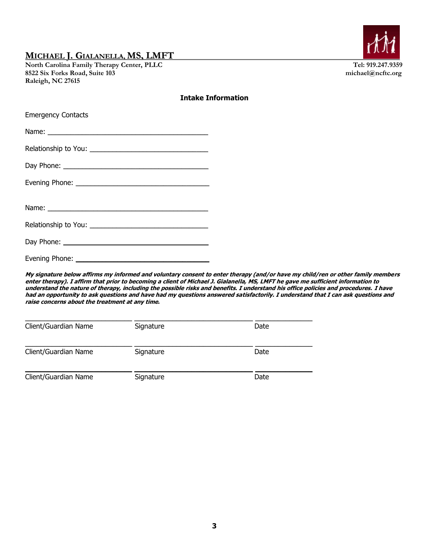North Carolina Family Therapy Center, PLLC Tel: 919.247.9359<br>
8522 Six Forks Road, Suite 103<br>
michael@ncftc.org 8522 Six Forks Road, Suite 103 **Raleigh, NC 27615** 

Evening Phone:



#### **Intake Information**

| <b>Emergency Contacts</b> |
|---------------------------|
|                           |
|                           |
|                           |
|                           |
|                           |
|                           |
|                           |
|                           |

**My signature below affirms my informed and voluntary consent to enter therapy (and/or have my child/ren or other family members enter therapy). I affirm that prior to becoming a client of Michael J. Gialanella, MS, LMFT he gave me sufficient information to understand the nature of therapy, including the possible risks and benefits. I understand his office policies and procedures. I have had an opportunity to ask questions and have had my questions answered satisfactorily. I understand that I can ask questions and raise concerns about the treatment at any time.**

| Client/Guardian Name | Signature | Date |
|----------------------|-----------|------|
| Client/Guardian Name | Signature | Date |
| Client/Guardian Name | Signature | Date |